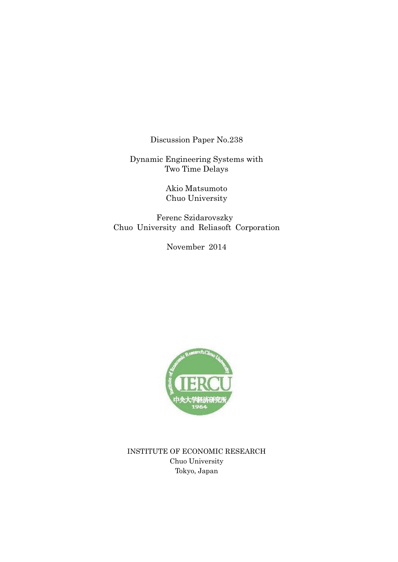Discussion Paper No.238

Dynamic Engineering Systems with Two Time Delays

> Akio Matsumoto Chuo University

 Ferenc Szidarovszky Chuo University and Reliasoft Corporation

November 2014



INSTITUTE OF ECONOMIC RESEARCH Chuo University Tokyo, Japan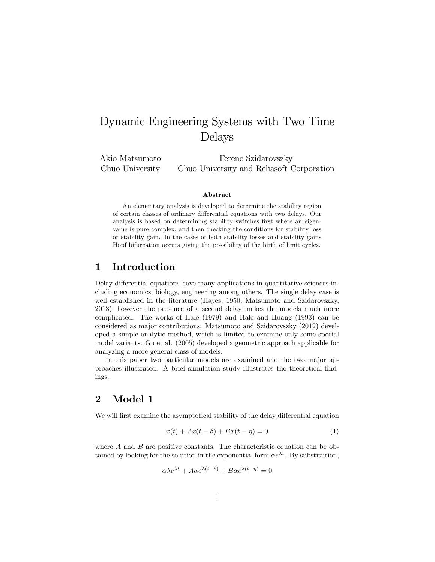# Dynamic Engineering Systems with Two Time Delays

Akio Matsumoto Chuo University Ferenc Szidarovszky Chuo University and Reliasoft Corporation

#### Abstract

An elementary analysis is developed to determine the stability region of certain classes of ordinary differential equations with two delays. Our analysis is based on determining stability switches first where an eigenvalue is pure complex, and then checking the conditions for stability loss or stability gain. In the cases of both stability losses and stability gains Hopf bifurcation occurs giving the possibility of the birth of limit cycles.

#### 1 Introduction

Delay differential equations have many applications in quantitative sciences including economics, biology, engineering among others. The single delay case is well established in the literature (Hayes, 1950, Matsumoto and Szidarovszky, 2013), however the presence of a second delay makes the models much more complicated. The works of Hale (1979) and Hale and Huang (1993) can be considered as major contributions. Matsumoto and Szidarovszky (2012) developed a simple analytic method, which is limited to examine only some special model variants. Gu et al. (2005) developed a geometric approach applicable for analyzing a more general class of models.

In this paper two particular models are examined and the two major approaches illustrated. A brief simulation study illustrates the theoretical Öndings.

#### 2 Model 1

We will first examine the asymptotical stability of the delay differential equation

$$
\dot{x}(t) + Ax(t - \delta) + Bx(t - \eta) = 0 \tag{1}
$$

where  $A$  and  $B$  are positive constants. The characteristic equation can be obtained by looking for the solution in the exponential form  $\alpha e^{\lambda t}$ . By substitution,

$$
\alpha \lambda e^{\lambda t} + A\alpha e^{\lambda(t-\delta)} + B\alpha e^{\lambda(t-\eta)} = 0
$$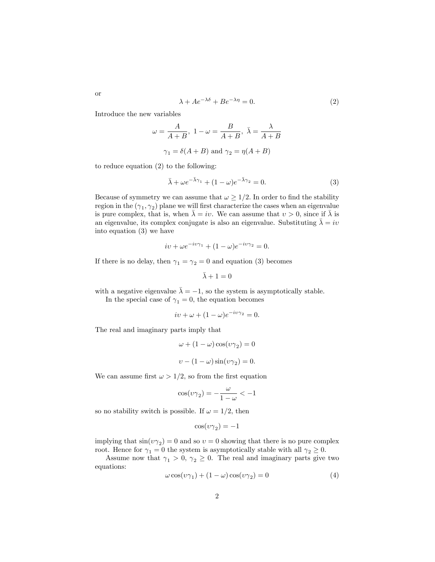$$
\lambda + Ae^{-\lambda \delta} + Be^{-\lambda \eta} = 0.
$$
 (2)

Introduce the new variables

$$
\omega = \frac{A}{A+B}, \ 1 - \omega = \frac{B}{A+B}, \ \bar{\lambda} = \frac{\lambda}{A+B}
$$

$$
\gamma_1 = \delta(A+B) \text{ and } \gamma_2 = \eta(A+B)
$$

to reduce equation (2) to the following:

$$
\bar{\lambda} + \omega e^{-\bar{\lambda}\gamma_1} + (1 - \omega)e^{-\bar{\lambda}\gamma_2} = 0.
$$
 (3)

Because of symmetry we can assume that  $\omega \geq 1/2$ . In order to find the stability region in the  $(\gamma_1, \gamma_2)$  plane we will first characterize the cases when an eigenvalue is pure complex, that is, when  $\bar{\lambda} = iv$ . We can assume that  $v > 0$ , since if  $\bar{\lambda}$  is an eigenvalue, its complex conjugate is also an eigenvalue. Substituting  $\lambda = iv$ into equation (3) we have

$$
iv + \omega e^{-iv\gamma_1} + (1 - \omega)e^{-iv\gamma_2} = 0.
$$

If there is no delay, then  $\gamma_1 = \gamma_2 = 0$  and equation (3) becomes

$$
\bar{\lambda}+1=0
$$

with a negative eigenvalue  $\bar{\lambda} = -1$ , so the system is asymptotically stable.

In the special case of  $\gamma_1 = 0$ , the equation becomes

$$
iv + \omega + (1 - \omega)e^{-iv\gamma_2} = 0.
$$

The real and imaginary parts imply that

$$
\omega + (1 - \omega)\cos(\upsilon\gamma_2) = 0
$$
  

$$
\upsilon - (1 - \omega)\sin(\upsilon\gamma_2) = 0.
$$

We can assume first  $\omega > 1/2$ , so from the first equation

$$
\cos(\upsilon\gamma_2)=-\frac{\omega}{1-\omega}<-1
$$

so no stability switch is possible. If  $\omega = 1/2$ , then

$$
\cos(\upsilon \gamma_2) = -1
$$

implying that  $\sin(v\gamma_2) = 0$  and so  $v = 0$  showing that there is no pure complex root. Hence for  $\gamma_1 = 0$  the system is asymptotically stable with all  $\gamma_2 \geq 0$ .

Assume now that  $\gamma_1 > 0$ ,  $\gamma_2 \geq 0$ . The real and imaginary parts give two equations:

$$
\omega \cos(\upsilon \gamma_1) + (1 - \omega) \cos(\upsilon \gamma_2) = 0 \tag{4}
$$

or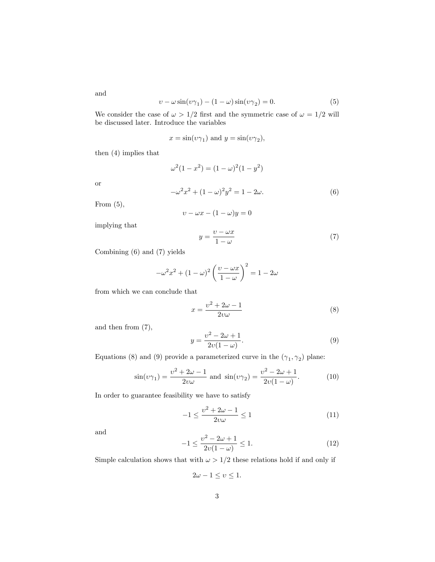and

$$
\upsilon - \omega \sin(\upsilon \gamma_1) - (1 - \omega) \sin(\upsilon \gamma_2) = 0. \tag{5}
$$

We consider the case of  $\omega > 1/2$  first and the symmetric case of  $\omega = 1/2$  will be discussed later. Introduce the variables

$$
x = \sin(v\gamma_1)
$$
 and  $y = \sin(v\gamma_2)$ ,

then (4) implies that

$$
\omega^{2}(1-x^{2}) = (1-\omega)^{2}(1-y^{2})
$$

or

$$
-\omega^2 x^2 + (1 - \omega)^2 y^2 = 1 - 2\omega.
$$
 (6)

From  $(5)$ ,

 $v - \omega x - (1 - \omega)y = 0$ 

implying that

$$
y = \frac{v - \omega x}{1 - \omega} \tag{7}
$$

Combining (6) and (7) yields

$$
-\omega^2 x^2 + (1 - \omega)^2 \left(\frac{v - \omega x}{1 - \omega}\right)^2 = 1 - 2\omega
$$

from which we can conclude that

$$
x = \frac{v^2 + 2\omega - 1}{2v\omega} \tag{8}
$$

and then from (7),

$$
y = \frac{v^2 - 2\omega + 1}{2v(1 - \omega)}.
$$
\n(9)

Equations (8) and (9) provide a parameterized curve in the  $(\gamma_1, \gamma_2)$  plane:

$$
\sin(v\gamma_1) = \frac{v^2 + 2\omega - 1}{2v\omega} \text{ and } \sin(v\gamma_2) = \frac{v^2 - 2\omega + 1}{2v(1 - \omega)}.
$$
 (10)

In order to guarantee feasibility we have to satisfy

$$
-1 \le \frac{v^2 + 2\omega - 1}{2v\omega} \le 1\tag{11}
$$

and

$$
-1 \le \frac{v^2 - 2\omega + 1}{2v(1 - \omega)} \le 1.
$$
 (12)

Simple calculation shows that with  $\omega > 1/2$  these relations hold if and only if

$$
2\omega - 1 \le \upsilon \le 1.
$$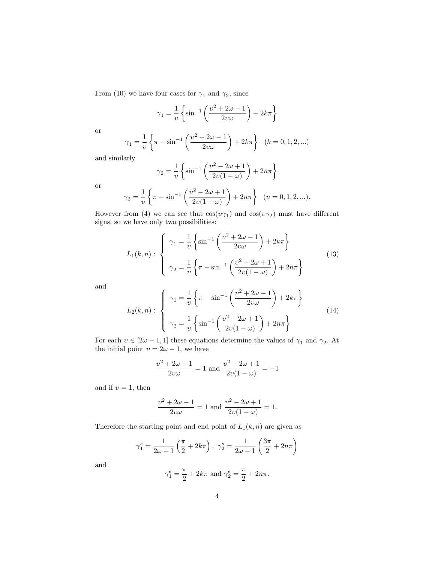From (10) we have four cases for  $\gamma_1$  and  $\gamma_2$ , since

$$
\gamma_1 = \frac{1}{\upsilon} \left\{ \sin^{-1} \left( \frac{\upsilon^2 + 2\omega - 1}{2\upsilon \omega} \right) + 2k\pi \right\}
$$

or

$$
\gamma_1 = \frac{1}{v} \left\{ \pi - \sin^{-1} \left( \frac{v^2 + 2\omega - 1}{2v\omega} \right) + 2k\pi \right\} \quad (k = 0, 1, 2, \ldots)
$$

and similarly

$$
\gamma_2 = \frac{1}{\upsilon} \left\{ \sin^{-1} \left( \frac{\upsilon^2 - 2\omega + 1}{2\upsilon(1 - \omega)} \right) + 2n\pi \right\}
$$

or

$$
\gamma_2 = \frac{1}{v} \left\{ \pi - \sin^{-1} \left( \frac{v^2 - 2\omega + 1}{2v(1 - \omega)} \right) + 2n\pi \right\} \quad (n = 0, 1, 2, \ldots).
$$

However from (4) we can see that  $cos(v\gamma_1)$  and  $cos(v\gamma_2)$  must have different signs, so we have only two possibilities:

$$
L_1(k,n): \begin{cases} \gamma_1 = \frac{1}{\upsilon} \left\{ \sin^{-1} \left( \frac{\upsilon^2 + 2\omega - 1}{2\upsilon \omega} \right) + 2k\pi \right\} \\ \gamma_2 = \frac{1}{\upsilon} \left\{ \pi - \sin^{-1} \left( \frac{\upsilon^2 - 2\omega + 1}{2\upsilon(1 - \omega)} \right) + 2n\pi \right\} \end{cases}
$$
(13)

and

$$
L_2(k,n): \begin{cases} \gamma_1 = \frac{1}{\nu} \left\{ \pi - \sin^{-1} \left( \frac{\nu^2 + 2\omega - 1}{2\nu\omega} \right) + 2k\pi \right\} \\ \gamma_2 = \frac{1}{\nu} \left\{ \sin^{-1} \left( \frac{\nu^2 - 2\omega + 1}{2\nu(1 - \omega)} \right) + 2n\pi \right\} \end{cases}
$$
(14)

For each  $v \in [2\omega - 1, 1]$  these equations determine the values of  $\gamma_1$  and  $\gamma_2$ . At the initial point  $v = 2\omega - 1$ , we have

$$
\frac{v^2 + 2\omega - 1}{2v\omega} = 1
$$
 and 
$$
\frac{v^2 - 2\omega + 1}{2v(1 - \omega)} = -1
$$

and if  $v = 1$ , then

$$
\frac{v^2 + 2\omega - 1}{2v\omega} = 1
$$
 and 
$$
\frac{v^2 - 2\omega + 1}{2v(1 - \omega)} = 1.
$$

Therefore the starting point and end point of  $L_1(k, n)$  are given as

$$
\gamma_{1}^{s} = \frac{1}{2\omega - 1} \left( \frac{\pi}{2} + 2k\pi \right), \ \gamma_{2}^{s} = \frac{1}{2\omega - 1} \left( \frac{3\pi}{2} + 2n\pi \right)
$$

and

$$
\gamma_1^e = \frac{\pi}{2} + 2k\pi
$$
 and  $\gamma_2^e = \frac{\pi}{2} + 2n\pi$ .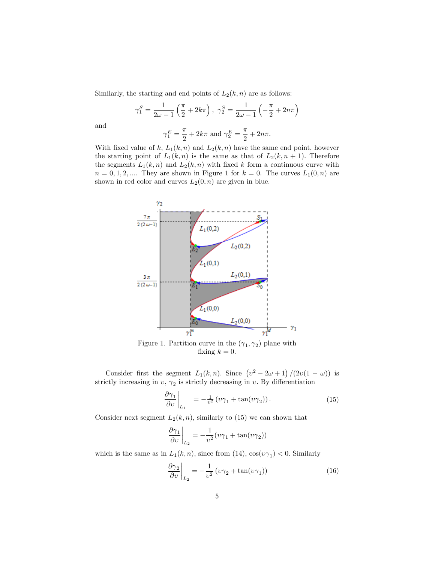Similarly, the starting and end points of  $L_2(k, n)$  are as follows:

$$
\gamma_1^S = \frac{1}{2\omega - 1} \left( \frac{\pi}{2} + 2k\pi \right), \ \gamma_2^S = \frac{1}{2\omega - 1} \left( -\frac{\pi}{2} + 2n\pi \right)
$$

$$
\gamma_1^E = \frac{\pi}{2} + 2k\pi \text{ and } \gamma_2^E = \frac{\pi}{2} + 2n\pi.
$$

and

With fixed value of k, 
$$
L_1(k, n)
$$
 and  $L_2(k, n)$  have the same end point, however  
the starting point of  $L_1(k, n)$  is the same as that of  $L_2(k, n + 1)$ . Therefore  
the segments  $L_1(k, n)$  and  $L_2(k, n)$  with fixed k form a continuous curve with  
 $n = 0, 1, 2, ...$  They are shown in Figure 1 for  $k = 0$ . The curves  $L_1(0, n)$  are  
shown in red color and curves  $L_2(0, n)$  are given in blue.



Figure 1. Partition curve in the  $(\gamma_1, \gamma_2)$  plane with fixing  $k = 0$ .

Consider first the segment  $L_1(k,n)$ . Since  $(v^2 - 2\omega + 1)/(2v(1 - \omega))$  is strictly increasing in  $v, \gamma_2$  is strictly decreasing in  $v$ . By differentiation

$$
\left. \frac{\partial \gamma_1}{\partial v} \right|_{L_1} = -\frac{1}{v^2} \left( v \gamma_1 + \tan(v \gamma_2) \right). \tag{15}
$$

Consider next segment  $L_2(k, n)$ , similarly to (15) we can shown that

$$
\left.\frac{\partial \gamma_1}{\partial v}\right|_{L_2}=-\frac{1}{v^2}(v\gamma_1+\tan(v\gamma_2))
$$

which is the same as in  $L_1(k, n)$ , since from (14),  $\cos(v\gamma_1) < 0$ . Similarly

$$
\left. \frac{\partial \gamma_2}{\partial v} \right|_{L_2} = -\frac{1}{v^2} \left( v \gamma_2 + \tan(v \gamma_1) \right) \tag{16}
$$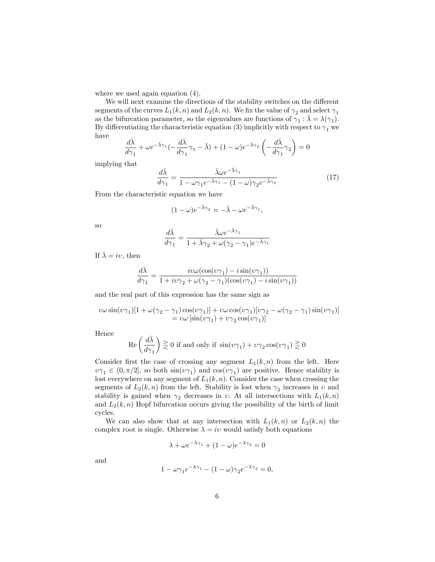where we used again equation  $(4)$ .

We will next examine the directions of the stability switches on the different segments of the curves  $L_1(k, n)$  and  $L_2(k, n)$ . We fix the value of  $\gamma_2$  and select  $\gamma_1$ as the bifurcation parameter, so the eigenvalues are functions of  $\gamma_1 : \bar{\lambda} = \lambda(\gamma_1)$ . By differentiating the characteristic equation (3) implicitly with respect to  $\gamma_1$  we have

$$
\frac{d\bar{\lambda}}{d\gamma_1} + \omega e^{-\bar{\lambda}\gamma_1} \left(-\frac{d\bar{\lambda}}{d\gamma_1}\gamma_1 - \bar{\lambda}\right) + (1 - \omega)e^{-\bar{\lambda}\gamma_2} \left(-\frac{d\bar{\lambda}}{d\gamma_1}\gamma_2\right) = 0
$$

implying that

$$
\frac{d\bar{\lambda}}{d\gamma_1} = \frac{\bar{\lambda}\omega e^{-\bar{\lambda}\gamma_1}}{1 - \omega\gamma_1 e^{-\bar{\lambda}\gamma_1} - (1 - \omega)\gamma_2 e^{-\bar{\lambda}\gamma_2}}
$$
(17)

From the characteristic equation we have

$$
(1 - \omega)e^{-\bar{\lambda}\gamma_2} = -\bar{\lambda} - \omega e^{-\bar{\lambda}\gamma_1},
$$

so

$$
\frac{d\bar{\lambda}}{d\gamma_1} = \frac{\bar{\lambda}\omega e^{-\bar{\lambda}\gamma_1}}{1 + \bar{\lambda}\gamma_2 + \omega(\gamma_2 - \gamma_1)e^{-\bar{\lambda}\gamma_1}}
$$

If  $\bar{\lambda} = iv$ , then

$$
\frac{d\bar{\lambda}}{d\gamma_1}=\frac{i v \omega (\cos(\upsilon \gamma_1)-i \sin(\upsilon \gamma_1))}{1+i \upsilon \gamma_2+\omega (\gamma_2-\gamma_1) (\cos(\upsilon \gamma_1)-i \sin(\upsilon \gamma_1))}
$$

and the real part of this expression has the same sign as

$$
v\omega \sin(v\gamma_1)[1 + \omega(\gamma_2 - \gamma_1)\cos(v\gamma_1)] + v\omega \cos(v\gamma_1)[v\gamma_2 - \omega(\gamma_2 - \gamma_1)\sin(v\gamma_1)]
$$
  
=  $v\omega [\sin(v\gamma_1) + v\gamma_2 \cos(v\gamma_1)]$ 

Hence

$$
\text{Re} \left( \frac{d \bar{\lambda}}{d \gamma_1} \right) \gtreqqless 0 \text{ if and only if } \sin (\upsilon \gamma_1) + \upsilon \gamma_2 \cos (\upsilon \gamma_1) \gtreqqless 0
$$

Consider first the case of crossing any segment  $L_1(k, n)$  from the left. Here  $v\gamma_1 \in (0, \pi/2]$ , so both  $\sin(v\gamma_1)$  and  $\cos(v\gamma_1)$  are positive. Hence stability is lost everywhere on any segment of  $L_1(k, n)$ . Consider the case when crossing the segments of  $L_2(k, n)$  from the left. Stability is lost when  $\gamma_2$  increases in v and stability is gained when  $\gamma_2$  decreases in v. At all intersections with  $L_1(k,n)$ and  $L_2(k, n)$  Hopf bifurcation occurs giving the possibility of the birth of limit cycles.

We can also show that at any intersection with  $L_1(k,n)$  or  $L_2(k,n)$  the complex root is single. Otherwise  $\lambda = iv$  would satisfy both equations

$$
\lambda + \omega e^{-\lambda \gamma_1} + (1 - \omega)e^{-\lambda \gamma_2} = 0
$$

and

$$
1 - \omega \gamma_1 e^{-\lambda \gamma_1} - (1 - \omega) \gamma_2 e^{-\lambda \gamma_2} = 0,
$$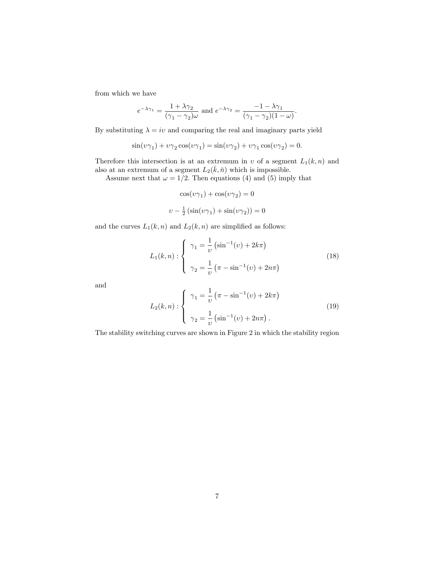from which we have

$$
e^{-\lambda \gamma_1} = \frac{1 + \lambda \gamma_2}{(\gamma_1 - \gamma_2)\omega} \text{ and } e^{-\lambda \gamma_2} = \frac{-1 - \lambda \gamma_1}{(\gamma_1 - \gamma_2)(1 - \omega)}.
$$

By substituting  $\lambda = iv$  and comparing the real and imaginary parts yield

$$
\sin(\upsilon \gamma_1) + \upsilon \gamma_2 \cos(\upsilon \gamma_1) = \sin(\upsilon \gamma_2) + \upsilon \gamma_1 \cos(\upsilon \gamma_2) = 0.
$$

Therefore this intersection is at an extremum in  $v$  of a segment  $L_1(k, n)$  and also at an extremum of a segment  $L_2(\bar{k}, \bar{n})$  which is impossible.

Assume next that  $\omega = 1/2$ . Then equations (4) and (5) imply that

$$
\cos(\upsilon\gamma_1)+\cos(\upsilon\gamma_2)=0
$$

$$
v - \frac{1}{2} \left( \sin(v\gamma_1) + \sin(v\gamma_2) \right) = 0
$$

and the curves  $L_1(k, n)$  and  $L_2(k, n)$  are simplified as follows:

$$
L_1(k,n): \begin{cases} \gamma_1 = \frac{1}{\upsilon} \left( \sin^{-1}(\upsilon) + 2k\pi \right) \\ \gamma_2 = \frac{1}{\upsilon} \left( \pi - \sin^{-1}(\upsilon) + 2n\pi \right) \end{cases} \tag{18}
$$

and

$$
L_2(k,n): \begin{cases} \gamma_1 = \frac{1}{\upsilon} \left( \pi - \sin^{-1}(\upsilon) + 2k\pi \right) \\ \gamma_2 = \frac{1}{\upsilon} \left( \sin^{-1}(\upsilon) + 2n\pi \right). \end{cases}
$$
(19)

The stability switching curves are shown in Figure 2 in which the stability region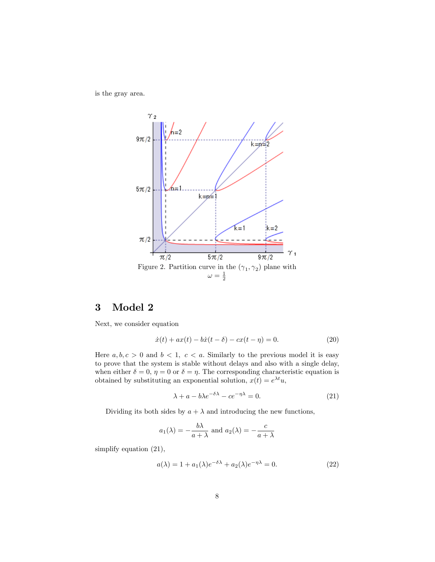is the gray area.



# 3 Model 2

Next, we consider equation

$$
\dot{x}(t) + ax(t) - b\dot{x}(t - \delta) - cx(t - \eta) = 0.
$$
 (20)

Here  $a, b, c > 0$  and  $b < 1, c < a$ . Similarly to the previous model it is easy to prove that the system is stable without delays and also with a single delay, when either  $\delta = 0$ ,  $\eta = 0$  or  $\delta = \eta$ . The corresponding characteristic equation is obtained by substituting an exponential solution,  $x(t) = e^{\lambda t}u$ ,

$$
\lambda + a - b\lambda e^{-\delta\lambda} - ce^{-\eta\lambda} = 0.
$$
 (21)

Dividing its both sides by  $a + \lambda$  and introducing the new functions,

$$
a_1(\lambda) = -\frac{b\lambda}{a+\lambda}
$$
 and  $a_2(\lambda) = -\frac{c}{a+\lambda}$ 

simplify equation (21),

$$
a(\lambda) = 1 + a_1(\lambda)e^{-\delta\lambda} + a_2(\lambda)e^{-\eta\lambda} = 0.
$$
 (22)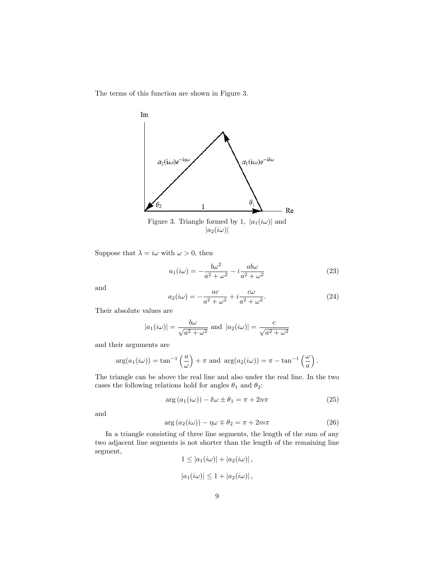The terms of this function are shown in Figure 3.



Suppose that  $\lambda = i\omega$  with  $\omega > 0$ , then

$$
a_1(i\omega) = -\frac{b\omega^2}{a^2 + \omega^2} - i\frac{ab\omega}{a^2 + \omega^2}
$$
 (23)

and

$$
a_2(i\omega) = -\frac{ac}{a^2 + \omega^2} + i\frac{c\omega}{a^2 + \omega^2}.
$$
\n(24)

Their absolute values are

$$
|a_1(i\omega)| = \frac{b\omega}{\sqrt{a^2 + \omega^2}}
$$
 and 
$$
|a_2(i\omega)| = \frac{c}{\sqrt{a^2 + \omega^2}}
$$

and their arguments are

$$
\arg(a_1(i\omega)) = \tan^{-1}\left(\frac{a}{\omega}\right) + \pi \text{ and } \arg(a_2(i\omega)) = \pi - \tan^{-1}\left(\frac{\omega}{a}\right).
$$

The triangle can be above the real line and also under the real line. In the two cases the following relations hold for angles  $\theta_1$  and  $\theta_2:$ 

$$
\arg\left(a_1(i\omega)\right) - \delta\omega \pm \theta_1 = \pi + 2n\pi \tag{25}
$$

and

$$
\arg\left(a_2(i\omega)\right) - \eta\omega \mp \theta_2 = \pi + 2m\pi \tag{26}
$$

In a triangle consisting of three line segments, the length of the sum of any two adjacent line segments is not shorter than the length of the remaining line segment,  $1 < |a_1(i_0)| + |a_2(i_0)|$ 

$$
1 \le |a_1(i\omega)| + |a_2(i\omega)|,
$$
  

$$
|a_1(i\omega)| \le 1 + |a_2(i\omega)|,
$$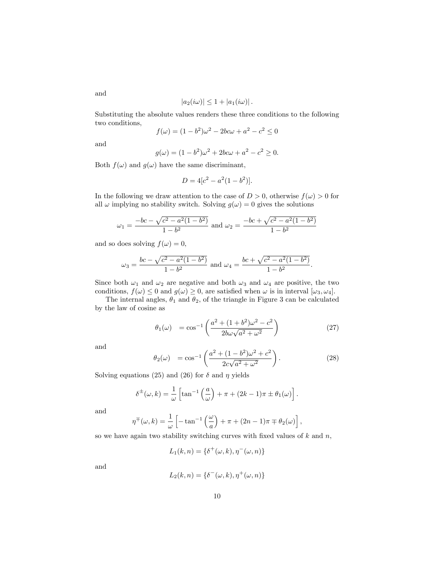$$
|a_2(i\omega)| \leq 1 + |a_1(i\omega)|.
$$

Substituting the absolute values renders these three conditions to the following two conditions,

$$
f(\omega) = (1 - b^2)\omega^2 - 2bc\omega + a^2 - c^2 \le 0
$$

and

$$
g(\omega) = (1 - b^2)\omega^2 + 2bc\omega + a^2 - c^2 \ge 0.
$$

Both  $f(\omega)$  and  $g(\omega)$  have the same discriminant,

$$
D = 4[c^2 - a^2(1 - b^2)].
$$

In the following we draw attention to the case of  $D > 0$ , otherwise  $f(\omega) > 0$  for all  $\omega$  implying no stability switch. Solving  $g(\omega) = 0$  gives the solutions

$$
\omega_1 = \frac{-bc - \sqrt{c^2 - a^2(1 - b^2)}}{1 - b^2}
$$
 and  $\omega_2 = \frac{-bc + \sqrt{c^2 - a^2(1 - b^2)}}{1 - b^2}$ 

and so does solving  $f(\omega) = 0$ ,

$$
\omega_3 = \frac{bc - \sqrt{c^2 - a^2(1 - b^2)}}{1 - b^2}
$$
 and  $\omega_4 = \frac{bc + \sqrt{c^2 - a^2(1 - b^2)}}{1 - b^2}$ .

Since both  $\omega_1$  and  $\omega_2$  are negative and both  $\omega_3$  and  $\omega_4$  are positive, the two conditions,  $f(\omega) \leq 0$  and  $g(\omega) \geq 0$ , are satisfied when  $\omega$  is in interval  $[\omega_3, \omega_4]$ .

The internal angles,  $\theta_1$  and  $\theta_2$ , of the triangle in Figure 3 can be calculated by the law of cosine as

$$
\theta_1(\omega) = \cos^{-1}\left(\frac{a^2 + (1+b^2)\omega^2 - c^2}{2b\omega\sqrt{a^2 + \omega^2}}\right)
$$
\n(27)

and

$$
\theta_2(\omega) = \cos^{-1}\left(\frac{a^2 + (1 - b^2)\omega^2 + c^2}{2c\sqrt{a^2 + \omega^2}}\right).
$$
\n(28)

Solving equations (25) and (26) for  $\delta$  and  $\eta$  yields

$$
\delta^{\pm}(\omega,k) = \frac{1}{\omega} \left[ \tan^{-1} \left( \frac{a}{\omega} \right) + \pi + (2k - 1)\pi \pm \theta_1(\omega) \right].
$$

and

$$
\eta^{\mp}(\omega,k) = \frac{1}{\omega} \left[ -\tan^{-1}\left(\frac{\omega}{a}\right) + \pi + (2n-1)\pi \mp \theta_2(\omega) \right],
$$

so we have again two stability switching curves with fixed values of  $k$  and  $n$ ,

$$
L_1(k,n) = \{\delta^+(\omega,k), \eta^-(\omega,n)\}
$$

and

$$
L_2(k,n) = \{ \delta^-(\omega,k), \eta^+(\omega,n) \}
$$

and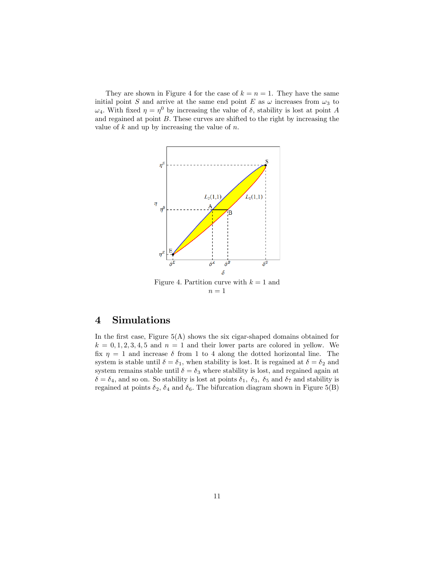They are shown in Figure 4 for the case of  $k = n = 1$ . They have the same initial point S and arrive at the same end point E as  $\omega$  increases from  $\omega_3$  to  $\omega_4$ . With fixed  $\eta = \eta^0$  by increasing the value of  $\delta$ , stability is lost at point A and regained at point B. These curves are shifted to the right by increasing the value of  $k$  and up by increasing the value of  $n$ .



# 4 Simulations

In the first case, Figure  $5(A)$  shows the six cigar-shaped domains obtained for  $k = 0, 1, 2, 3, 4, 5$  and  $n = 1$  and their lower parts are colored in yellow. We fix  $\eta = 1$  and increase  $\delta$  from 1 to 4 along the dotted horizontal line. The system is stable until  $\delta = \delta_1$ , when stability is lost. It is regained at  $\delta = \delta_2$  and system remains stable until  $\delta = \delta_3$  where stability is lost, and regained again at  $\delta = \delta_4$ , and so on. So stability is lost at points  $\delta_1$ ,  $\delta_3$ ,  $\delta_5$  and  $\delta_7$  and stability is regained at points  $\delta_2$ ,  $\delta_4$  and  $\delta_6$ . The bifurcation diagram shown in Figure 5(B)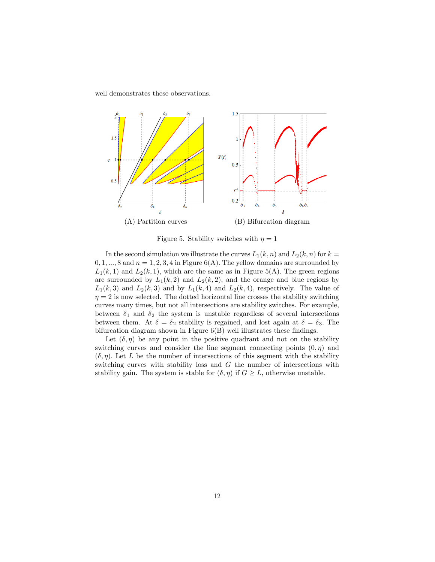well demonstrates these observations.



Figure 5. Stability switches with  $\eta = 1$ 

In the second simulation we illustrate the curves  $L_1(k, n)$  and  $L_2(k, n)$  for  $k =$  $0, 1, \ldots, 8$  and  $n = 1, 2, 3, 4$  in Figure 6(A). The yellow domains are surrounded by  $L_1(k, 1)$  and  $L_2(k, 1)$ , which are the same as in Figure 5(A). The green regions are surrounded by  $L_1(k,2)$  and  $L_2(k,2)$ , and the orange and blue regions by  $L_1(k,3)$  and  $L_2(k,3)$  and by  $L_1(k,4)$  and  $L_2(k,4)$ , respectively. The value of  $\eta = 2$  is now selected. The dotted horizontal line crosses the stability switching curves many times, but not all intersections are stability switches. For example, between  $\delta_1$  and  $\delta_2$  the system is unstable regardless of several intersections between them. At  $\delta = \delta_2$  stability is regained, and lost again at  $\delta = \delta_3$ . The bifurcation diagram shown in Figure  $6(B)$  well illustrates these findings.

Let  $(\delta, \eta)$  be any point in the positive quadrant and not on the stability switching curves and consider the line segment connecting points  $(0, \eta)$  and  $(\delta, \eta)$ . Let L be the number of intersections of this segment with the stability switching curves with stability loss and G the number of intersections with stability gain. The system is stable for  $(\delta, \eta)$  if  $G \geq L$ , otherwise unstable.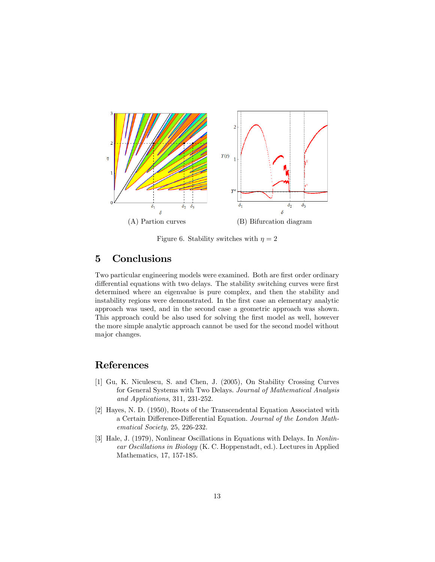

Figure 6. Stability switches with  $\eta = 2$ 

### 5 Conclusions

Two particular engineering models were examined. Both are first order ordinary differential equations with two delays. The stability switching curves were first determined where an eigenvalue is pure complex, and then the stability and instability regions were demonstrated. In the first case an elementary analytic approach was used, and in the second case a geometric approach was shown. This approach could be also used for solving the first model as well, however the more simple analytic approach cannot be used for the second model without major changes.

## References

- [1] Gu, K. Niculescu, S. and Chen, J. (2005), On Stability Crossing Curves for General Systems with Two Delays. Journal of Mathematical Analysis and Applications, 311, 231-252.
- [2] Hayes, N. D. (1950), Roots of the Transcendental Equation Associated with a Certain Difference-Differential Equation. Journal of the London Mathematical Society, 25, 226-232.
- [3] Hale, J. (1979), Nonlinear Oscillations in Equations with Delays. In Nonlinear Oscillations in Biology (K. C. Hoppenstadt, ed.). Lectures in Applied Mathematics, 17, 157-185.